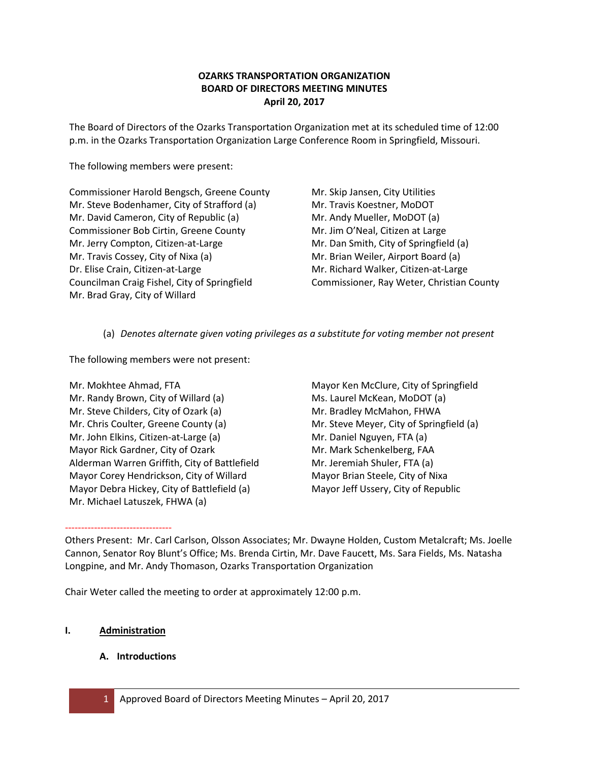# **OZARKS TRANSPORTATION ORGANIZATION BOARD OF DIRECTORS MEETING MINUTES April 20, 2017**

The Board of Directors of the Ozarks Transportation Organization met at its scheduled time of 12:00 p.m. in the Ozarks Transportation Organization Large Conference Room in Springfield, Missouri.

The following members were present:

Commissioner Harold Bengsch, Greene County Mr. Steve Bodenhamer, City of Strafford (a) Mr. David Cameron, City of Republic (a) Commissioner Bob Cirtin, Greene County Mr. Jerry Compton, Citizen-at-Large Mr. Travis Cossey, City of Nixa (a) Dr. Elise Crain, Citizen-at-Large Councilman Craig Fishel, City of Springfield Mr. Brad Gray, City of Willard

Mr. Skip Jansen, City Utilities Mr. Travis Koestner, MoDOT Mr. Andy Mueller, MoDOT (a) Mr. Jim O'Neal, Citizen at Large Mr. Dan Smith, City of Springfield (a) Mr. Brian Weiler, Airport Board (a) Mr. Richard Walker, Citizen-at-Large Commissioner, Ray Weter, Christian County

(a) *Denotes alternate given voting privileges as a substitute for voting member not present*

The following members were not present:

Mr. Mokhtee Ahmad, FTA Mr. Randy Brown, City of Willard (a) Mr. Steve Childers, City of Ozark (a) Mr. Chris Coulter, Greene County (a) Mr. John Elkins, Citizen-at-Large (a) Mayor Rick Gardner, City of Ozark Alderman Warren Griffith, City of Battlefield Mayor Corey Hendrickson, City of Willard Mayor Debra Hickey, City of Battlefield (a) Mr. Michael Latuszek, FHWA (a)

Mayor Ken McClure, City of Springfield Ms. Laurel McKean, MoDOT (a) Mr. Bradley McMahon, FHWA Mr. Steve Meyer, City of Springfield (a) Mr. Daniel Nguyen, FTA (a) Mr. Mark Schenkelberg, FAA Mr. Jeremiah Shuler, FTA (a) Mayor Brian Steele, City of Nixa Mayor Jeff Ussery, City of Republic

--------------------------------- Others Present: Mr. Carl Carlson, Olsson Associates; Mr. Dwayne Holden, Custom Metalcraft; Ms. Joelle Cannon, Senator Roy Blunt's Office; Ms. Brenda Cirtin, Mr. Dave Faucett, Ms. Sara Fields, Ms. Natasha Longpine, and Mr. Andy Thomason, Ozarks Transportation Organization

Chair Weter called the meeting to order at approximately 12:00 p.m.

# **I. Administration**

# **A. Introductions**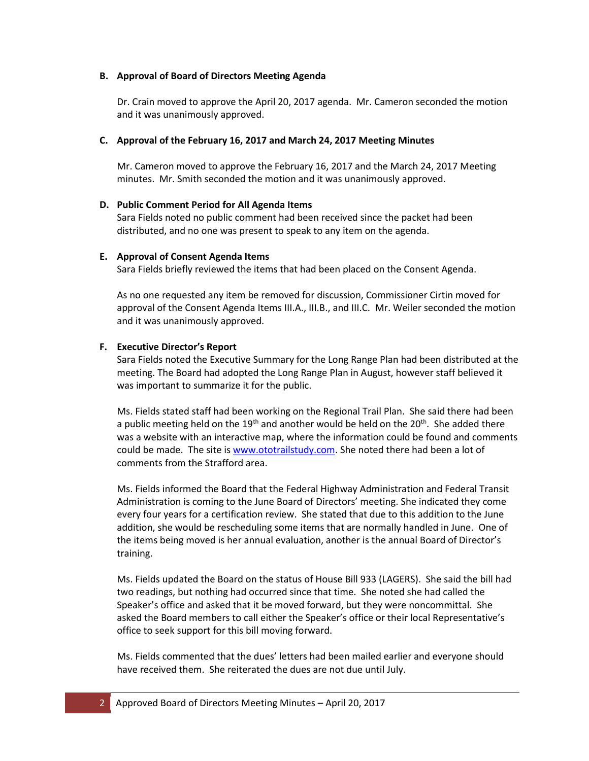## **B. Approval of Board of Directors Meeting Agenda**

Dr. Crain moved to approve the April 20, 2017 agenda. Mr. Cameron seconded the motion and it was unanimously approved.

## **C. Approval of the February 16, 2017 and March 24, 2017 Meeting Minutes**

Mr. Cameron moved to approve the February 16, 2017 and the March 24, 2017 Meeting minutes. Mr. Smith seconded the motion and it was unanimously approved.

## **D. Public Comment Period for All Agenda Items**

Sara Fields noted no public comment had been received since the packet had been distributed, and no one was present to speak to any item on the agenda.

#### **E. Approval of Consent Agenda Items**

Sara Fields briefly reviewed the items that had been placed on the Consent Agenda.

As no one requested any item be removed for discussion, Commissioner Cirtin moved for approval of the Consent Agenda Items III.A., III.B., and III.C. Mr. Weiler seconded the motion and it was unanimously approved.

#### **F. Executive Director's Report**

Sara Fields noted the Executive Summary for the Long Range Plan had been distributed at the meeting. The Board had adopted the Long Range Plan in August, however staff believed it was important to summarize it for the public.

Ms. Fields stated staff had been working on the Regional Trail Plan. She said there had been a public meeting held on the 19<sup>th</sup> and another would be held on the 20<sup>th</sup>. She added there was a website with an interactive map, where the information could be found and comments could be made. The site is [www.ototrailstudy.com.](http://www.ototrailstudy.com/) She noted there had been a lot of comments from the Strafford area.

Ms. Fields informed the Board that the Federal Highway Administration and Federal Transit Administration is coming to the June Board of Directors' meeting. She indicated they come every four years for a certification review. She stated that due to this addition to the June addition, she would be rescheduling some items that are normally handled in June. One of the items being moved is her annual evaluation, another is the annual Board of Director's training.

Ms. Fields updated the Board on the status of House Bill 933 (LAGERS). She said the bill had two readings, but nothing had occurred since that time. She noted she had called the Speaker's office and asked that it be moved forward, but they were noncommittal. She asked the Board members to call either the Speaker's office or their local Representative's office to seek support for this bill moving forward.

Ms. Fields commented that the dues' letters had been mailed earlier and everyone should have received them. She reiterated the dues are not due until July.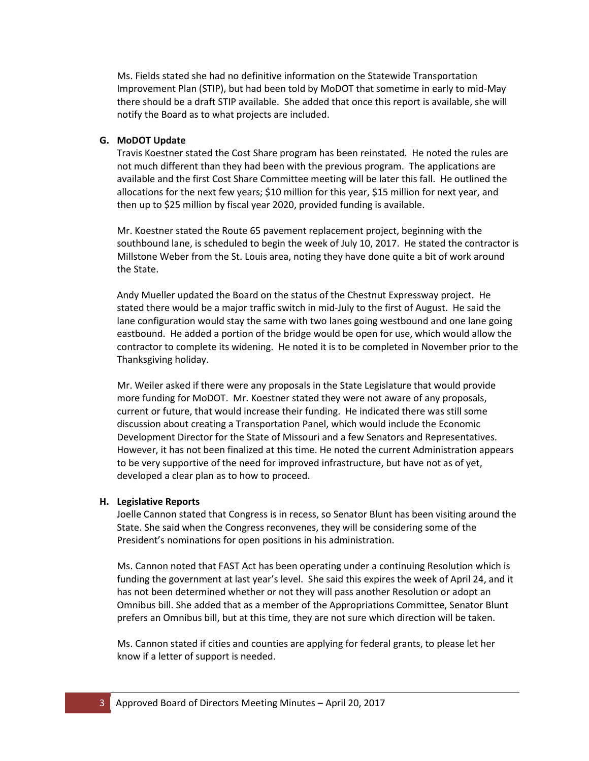Ms. Fields stated she had no definitive information on the Statewide Transportation Improvement Plan (STIP), but had been told by MoDOT that sometime in early to mid-May there should be a draft STIP available. She added that once this report is available, she will notify the Board as to what projects are included.

## **G. MoDOT Update**

Travis Koestner stated the Cost Share program has been reinstated. He noted the rules are not much different than they had been with the previous program. The applications are available and the first Cost Share Committee meeting will be later this fall. He outlined the allocations for the next few years; \$10 million for this year, \$15 million for next year, and then up to \$25 million by fiscal year 2020, provided funding is available.

Mr. Koestner stated the Route 65 pavement replacement project, beginning with the southbound lane, is scheduled to begin the week of July 10, 2017. He stated the contractor is Millstone Weber from the St. Louis area, noting they have done quite a bit of work around the State.

Andy Mueller updated the Board on the status of the Chestnut Expressway project. He stated there would be a major traffic switch in mid-July to the first of August. He said the lane configuration would stay the same with two lanes going westbound and one lane going eastbound. He added a portion of the bridge would be open for use, which would allow the contractor to complete its widening. He noted it is to be completed in November prior to the Thanksgiving holiday.

Mr. Weiler asked if there were any proposals in the State Legislature that would provide more funding for MoDOT. Mr. Koestner stated they were not aware of any proposals, current or future, that would increase their funding. He indicated there was still some discussion about creating a Transportation Panel, which would include the Economic Development Director for the State of Missouri and a few Senators and Representatives. However, it has not been finalized at this time. He noted the current Administration appears to be very supportive of the need for improved infrastructure, but have not as of yet, developed a clear plan as to how to proceed.

#### **H. Legislative Reports**

Joelle Cannon stated that Congress is in recess, so Senator Blunt has been visiting around the State. She said when the Congress reconvenes, they will be considering some of the President's nominations for open positions in his administration.

Ms. Cannon noted that FAST Act has been operating under a continuing Resolution which is funding the government at last year's level. She said this expires the week of April 24, and it has not been determined whether or not they will pass another Resolution or adopt an Omnibus bill. She added that as a member of the Appropriations Committee, Senator Blunt prefers an Omnibus bill, but at this time, they are not sure which direction will be taken.

Ms. Cannon stated if cities and counties are applying for federal grants, to please let her know if a letter of support is needed.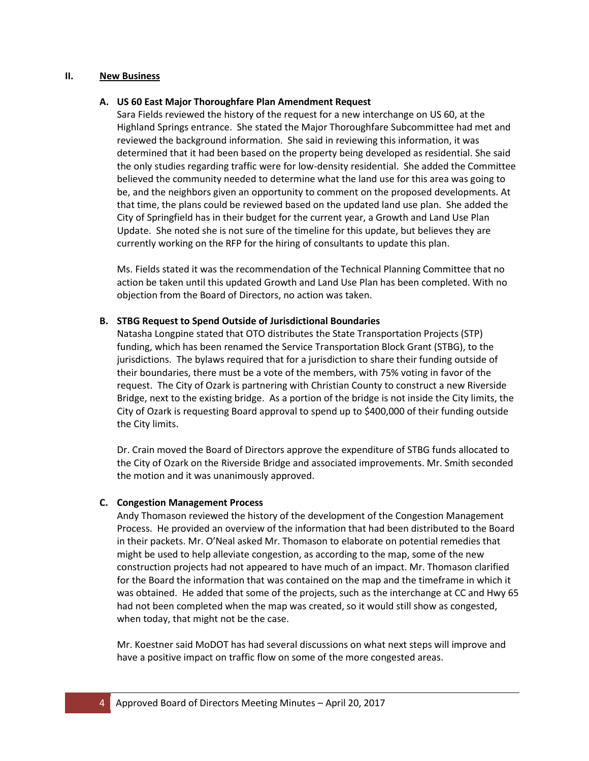#### **II. New Business**

## **A. US 60 East Major Thoroughfare Plan Amendment Request**

Sara Fields reviewed the history of the request for a new interchange on US 60, at the Highland Springs entrance. She stated the Major Thoroughfare Subcommittee had met and reviewed the background information. She said in reviewing this information, it was determined that it had been based on the property being developed as residential. She said the only studies regarding traffic were for low-density residential. She added the Committee believed the community needed to determine what the land use for this area was going to be, and the neighbors given an opportunity to comment on the proposed developments. At that time, the plans could be reviewed based on the updated land use plan. She added the City of Springfield has in their budget for the current year, a Growth and Land Use Plan Update. She noted she is not sure of the timeline for this update, but believes they are currently working on the RFP for the hiring of consultants to update this plan.

Ms. Fields stated it was the recommendation of the Technical Planning Committee that no action be taken until this updated Growth and Land Use Plan has been completed. With no objection from the Board of Directors, no action was taken.

#### **B. STBG Request to Spend Outside of Jurisdictional Boundaries**

Natasha Longpine stated that OTO distributes the State Transportation Projects (STP) funding, which has been renamed the Service Transportation Block Grant (STBG), to the jurisdictions. The bylaws required that for a jurisdiction to share their funding outside of their boundaries, there must be a vote of the members, with 75% voting in favor of the request. The City of Ozark is partnering with Christian County to construct a new Riverside Bridge, next to the existing bridge. As a portion of the bridge is not inside the City limits, the City of Ozark is requesting Board approval to spend up to \$400,000 of their funding outside the City limits.

Dr. Crain moved the Board of Directors approve the expenditure of STBG funds allocated to the City of Ozark on the Riverside Bridge and associated improvements. Mr. Smith seconded the motion and it was unanimously approved.

## **C. Congestion Management Process**

Andy Thomason reviewed the history of the development of the Congestion Management Process. He provided an overview of the information that had been distributed to the Board in their packets. Mr. O'Neal asked Mr. Thomason to elaborate on potential remedies that might be used to help alleviate congestion, as according to the map, some of the new construction projects had not appeared to have much of an impact. Mr. Thomason clarified for the Board the information that was contained on the map and the timeframe in which it was obtained. He added that some of the projects, such as the interchange at CC and Hwy 65 had not been completed when the map was created, so it would still show as congested, when today, that might not be the case.

Mr. Koestner said MoDOT has had several discussions on what next steps will improve and have a positive impact on traffic flow on some of the more congested areas.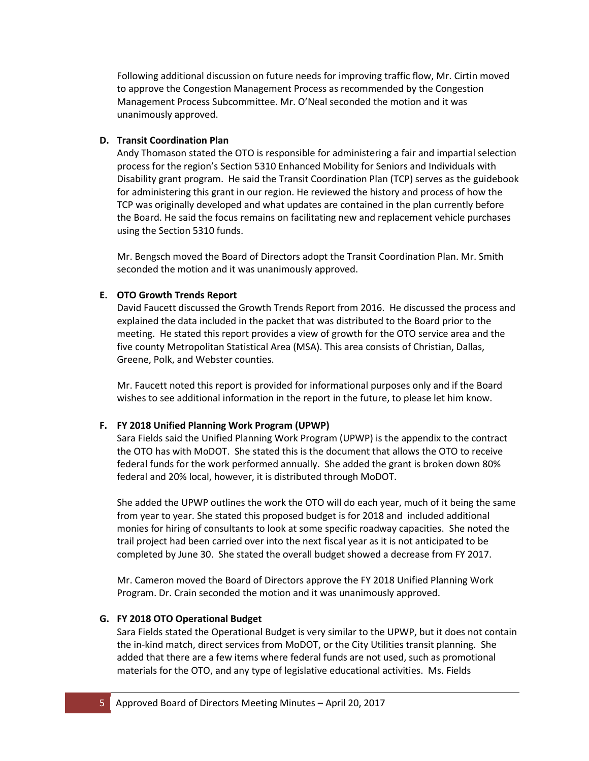Following additional discussion on future needs for improving traffic flow, Mr. Cirtin moved to approve the Congestion Management Process as recommended by the Congestion Management Process Subcommittee. Mr. O'Neal seconded the motion and it was unanimously approved.

## **D. Transit Coordination Plan**

Andy Thomason stated the OTO is responsible for administering a fair and impartial selection process for the region's Section 5310 Enhanced Mobility for Seniors and Individuals with Disability grant program. He said the Transit Coordination Plan (TCP) serves as the guidebook for administering this grant in our region. He reviewed the history and process of how the TCP was originally developed and what updates are contained in the plan currently before the Board. He said the focus remains on facilitating new and replacement vehicle purchases using the Section 5310 funds.

Mr. Bengsch moved the Board of Directors adopt the Transit Coordination Plan. Mr. Smith seconded the motion and it was unanimously approved.

## **E. OTO Growth Trends Report**

David Faucett discussed the Growth Trends Report from 2016. He discussed the process and explained the data included in the packet that was distributed to the Board prior to the meeting. He stated this report provides a view of growth for the OTO service area and the five county Metropolitan Statistical Area (MSA). This area consists of Christian, Dallas, Greene, Polk, and Webster counties.

Mr. Faucett noted this report is provided for informational purposes only and if the Board wishes to see additional information in the report in the future, to please let him know.

## **F. FY 2018 Unified Planning Work Program (UPWP)**

Sara Fields said the Unified Planning Work Program (UPWP) is the appendix to the contract the OTO has with MoDOT. She stated this is the document that allows the OTO to receive federal funds for the work performed annually. She added the grant is broken down 80% federal and 20% local, however, it is distributed through MoDOT.

She added the UPWP outlines the work the OTO will do each year, much of it being the same from year to year. She stated this proposed budget is for 2018 and included additional monies for hiring of consultants to look at some specific roadway capacities. She noted the trail project had been carried over into the next fiscal year as it is not anticipated to be completed by June 30. She stated the overall budget showed a decrease from FY 2017.

Mr. Cameron moved the Board of Directors approve the FY 2018 Unified Planning Work Program. Dr. Crain seconded the motion and it was unanimously approved.

## **G. FY 2018 OTO Operational Budget**

Sara Fields stated the Operational Budget is very similar to the UPWP, but it does not contain the in-kind match, direct services from MoDOT, or the City Utilities transit planning. She added that there are a few items where federal funds are not used, such as promotional materials for the OTO, and any type of legislative educational activities. Ms. Fields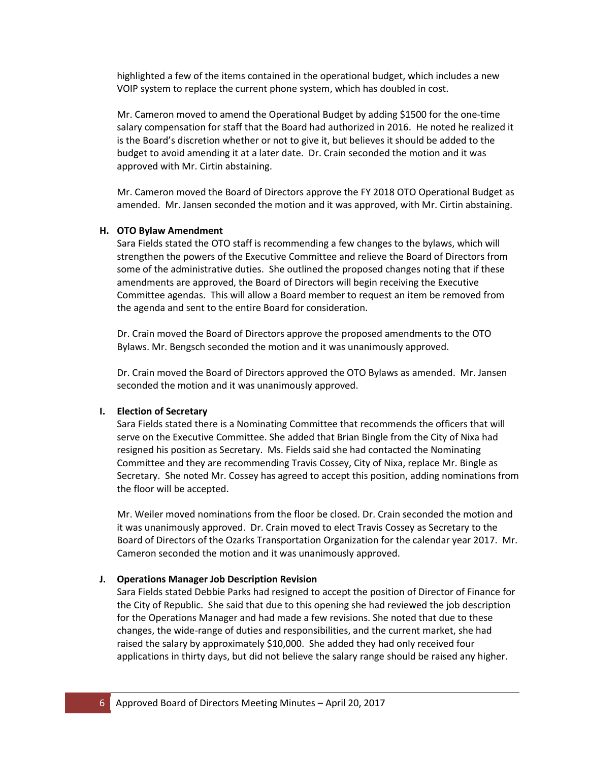highlighted a few of the items contained in the operational budget, which includes a new VOIP system to replace the current phone system, which has doubled in cost.

Mr. Cameron moved to amend the Operational Budget by adding \$1500 for the one-time salary compensation for staff that the Board had authorized in 2016. He noted he realized it is the Board's discretion whether or not to give it, but believes it should be added to the budget to avoid amending it at a later date. Dr. Crain seconded the motion and it was approved with Mr. Cirtin abstaining.

Mr. Cameron moved the Board of Directors approve the FY 2018 OTO Operational Budget as amended. Mr. Jansen seconded the motion and it was approved, with Mr. Cirtin abstaining.

#### **H. OTO Bylaw Amendment**

Sara Fields stated the OTO staff is recommending a few changes to the bylaws, which will strengthen the powers of the Executive Committee and relieve the Board of Directors from some of the administrative duties. She outlined the proposed changes noting that if these amendments are approved, the Board of Directors will begin receiving the Executive Committee agendas. This will allow a Board member to request an item be removed from the agenda and sent to the entire Board for consideration.

Dr. Crain moved the Board of Directors approve the proposed amendments to the OTO Bylaws. Mr. Bengsch seconded the motion and it was unanimously approved.

Dr. Crain moved the Board of Directors approved the OTO Bylaws as amended. Mr. Jansen seconded the motion and it was unanimously approved.

#### **I. Election of Secretary**

Sara Fields stated there is a Nominating Committee that recommends the officers that will serve on the Executive Committee. She added that Brian Bingle from the City of Nixa had resigned his position as Secretary. Ms. Fields said she had contacted the Nominating Committee and they are recommending Travis Cossey, City of Nixa, replace Mr. Bingle as Secretary. She noted Mr. Cossey has agreed to accept this position, adding nominations from the floor will be accepted.

Mr. Weiler moved nominations from the floor be closed. Dr. Crain seconded the motion and it was unanimously approved. Dr. Crain moved to elect Travis Cossey as Secretary to the Board of Directors of the Ozarks Transportation Organization for the calendar year 2017. Mr. Cameron seconded the motion and it was unanimously approved.

#### **J. Operations Manager Job Description Revision**

Sara Fields stated Debbie Parks had resigned to accept the position of Director of Finance for the City of Republic. She said that due to this opening she had reviewed the job description for the Operations Manager and had made a few revisions. She noted that due to these changes, the wide-range of duties and responsibilities, and the current market, she had raised the salary by approximately \$10,000. She added they had only received four applications in thirty days, but did not believe the salary range should be raised any higher.